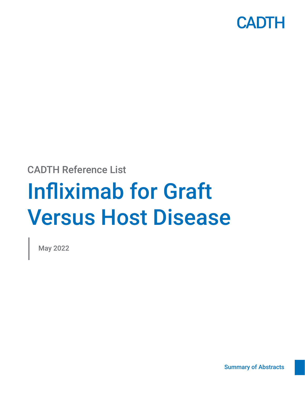

CADTH Reference List

# Infliximab for Graft Versus Host Disease

May 2022

[Summary of Abstracts](#page-2-0)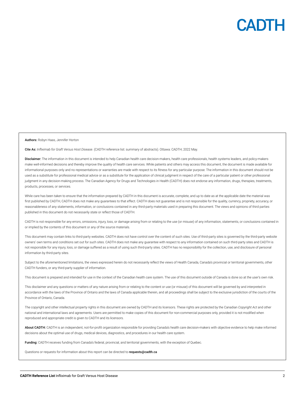

Authors: Robyn Haas, Jennifer Horton

Cite As: *Infliximab for Graft Versus Host Disease*. (CADTH reference list: summary of abstracts). Ottawa: CADTH; 2022 May.

Disclaimer: The information in this document is intended to help Canadian health care decision-makers, health care professionals, health systems leaders, and policy-makers make well-informed decisions and thereby improve the quality of health care services. While patients and others may access this document, the document is made available for informational purposes only and no representations or warranties are made with respect to its fitness for any particular purpose. The information in this document should not be used as a substitute for professional medical advice or as a substitute for the application of clinical judgment in respect of the care of a particular patient or other professional judgment in any decision-making process. The Canadian Agency for Drugs and Technologies in Health (CADTH) does not endorse any information, drugs, therapies, treatments, products, processes, or services.

While care has been taken to ensure that the information prepared by CADTH in this document is accurate, complete, and up to date as at the applicable date the material was first published by CADTH, CADTH does not make any guarantees to that effect. CADTH does not guarantee and is not responsible for the quality, currency, propriety, accuracy, or reasonableness of any statements, information, or conclusions contained in any third-party materials used in preparing this document. The views and opinions of third parties published in this document do not necessarily state or reflect those of CADTH.

CADTH is not responsible for any errors, omissions, injury, loss, or damage arising from or relating to the use (or misuse) of any information, statements, or conclusions contained in or implied by the contents of this document or any of the source materials.

This document may contain links to third-party websites. CADTH does not have control over the content of such sites. Use of third-party sites is governed by the third-party website owners' own terms and conditions set out for such sites. CADTH does not make any guarantee with respect to any information contained on such third-party sites and CADTH is not responsible for any injury, loss, or damage suffered as a result of using such third-party sites. CADTH has no responsibility for the collection, use, and disclosure of personal information by third-party sites.

Subject to the aforementioned limitations, the views expressed herein do not necessarily reflect the views of Health Canada, Canada's provincial or territorial governments, other CADTH funders, or any third-party supplier of information.

This document is prepared and intended for use in the context of the Canadian health care system. The use of this document outside of Canada is done so at the user's own risk.

This disclaimer and any questions or matters of any nature arising from or relating to the content or use (or misuse) of this document will be governed by and interpreted in accordance with the laws of the Province of Ontario and the laws of Canada applicable therein, and all proceedings shall be subject to the exclusive jurisdiction of the courts of the Province of Ontario, Canada.

The copyright and other intellectual property rights in this document are owned by CADTH and its licensors. These rights are protected by the Canadian *Copyright Act* and other national and international laws and agreements. Users are permitted to make copies of this document for non-commercial purposes only, provided it is not modified when reproduced and appropriate credit is given to CADTH and its licensors.

About CADTH: CADTH is an independent, not-for-profit organization responsible for providing Canada's health care decision-makers with objective evidence to help make informed decisions about the optimal use of drugs, medical devices, diagnostics, and procedures in our health care system.

Funding: CADTH receives funding from Canada's federal, provincial, and territorial governments, with the exception of Quebec.

Questions or requests for information about this report can be directed to requests@cadth.ca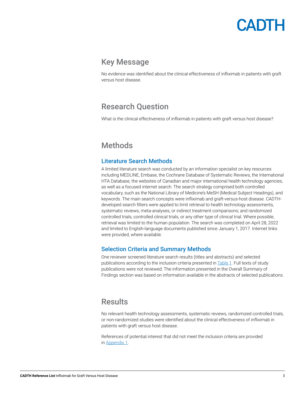# CADTH

# <span id="page-2-0"></span>Key Message

No evidence was identified about the clinical effectiveness of infliximab in patients with graft versus host disease.

# Research Question

What is the clinical effectiveness of infliximab in patients with graft versus host disease?

# **Methods**

#### Literature Search Methods

A limited literature search was conducted by an information specialist on key resources including MEDLINE, Embase, the Cochrane Database of Systematic Reviews, the International HTA Database, the websites of Canadian and major international health technology agencies, as well as a focused internet search. The search strategy comprised both controlled vocabulary, such as the National Library of Medicine's MeSH (Medical Subject Headings), and keywords. The main search concepts were infliximab and graft-versus-host disease. CADTHdeveloped search filters were applied to limit retrieval to health technology assessments, systematic reviews, meta-analyses, or indirect treatment comparisons; and randomized controlled trials, controlled clinical trials, or any other type of clinical trial. Where possible, retrieval was limited to the human population. The search was completed on April 28, 2022 and limited to English-language documents published since January 1, 2017. Internet links were provided, where available.

#### Selection Criteria and Summary Methods

One reviewer screened literature search results (titles and abstracts) and selected publications according to the inclusion criteria presented in **[Table 1](#page-3-0)**. Full texts of study publications were not reviewed. The information presented in the Overall Summary of Findings section was based on information available in the abstracts of selected publications.

### **Results**

No relevant health technology assessments, systematic reviews, randomized controlled trials, or non-randomized studies were identified about the clinical effectiveness of infliximab in patients with graft versus host disease.

References of potential interest that did not meet the inclusion criteria are provided in [Appendix 1.](#page-5-0)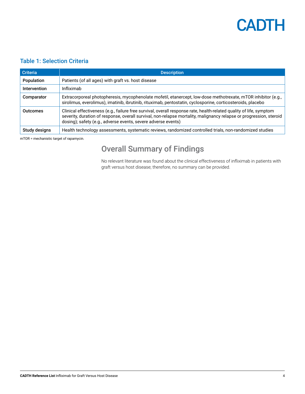

#### <span id="page-3-0"></span>Table 1: Selection Criteria

| <b>Criteria</b>     | <b>Description</b>                                                                                                                                                                                                                                                                                          |
|---------------------|-------------------------------------------------------------------------------------------------------------------------------------------------------------------------------------------------------------------------------------------------------------------------------------------------------------|
| Population          | Patients (of all ages) with graft vs. host disease                                                                                                                                                                                                                                                          |
| <b>Intervention</b> | Infliximab                                                                                                                                                                                                                                                                                                  |
| Comparator          | Extracorporeal photopheresis, mycophenolate mofetil, etanercept, low-dose methotrexate, mTOR inhibitor (e.g.,<br>sirolimus, everolimus), imatinib, ibrutinib, rituximab, pentostatin, cyclosporine, corticosteroids, placebo                                                                                |
| <b>Outcomes</b>     | Clinical effectiveness (e.g., failure free survival, overall response rate, health-related quality of life, symptom<br>severity, duration of response, overall survival, non-relapse mortality, malignancy relapse or progression, steroid<br>dosing); safety (e.g., adverse events, severe adverse events) |
| Study designs       | Health technology assessments, systematic reviews, randomized controlled trials, non-randomized studies                                                                                                                                                                                                     |

mTOR = mechanistic target of rapamycin.

# Overall Summary of Findings

No relevant literature was found about the clinical effectiveness of infliximab in patients with graft versus host disease; therefore, no summary can be provided.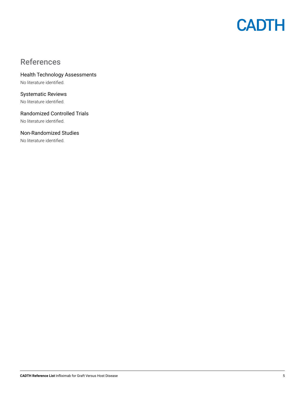

# References

Health Technology Assessments No literature identified.

Systematic Reviews No literature identified.

Randomized Controlled Trials No literature identified.

Non-Randomized Studies

No literature identified.